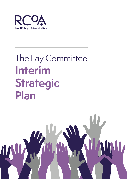

# The Lay Committee **Interim Strategic Plan**

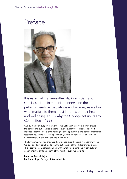# Preface



It is essential that anaesthetists, intensivists and specialists in pain medicine understand their patients' needs, expectations and worries, as well as what matters to them most in terms of their health and wellbeing. This is why the College set up its Lay Committee in 1998.

Our lay members support the work of the College in many ways. They ensure the patient and public voice is heard at every level in the College. Their work includes observing our exams, helping us develop curricula and patient information resources, reviewing research applications, assessing standards in anaesthetic departments with our clinicians and much more.

The Lay Committee has grown and developed over the years in tandem with the College and I am delighted to see the publication of this, its first strategic plan. This clearly demonstrates alignment with our strategic aims and in particular our commitment to putting patients at the heart of everything we do.

**Professor Ravi Mahajan President, Royal College of Anaesthetists**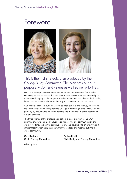# Foreword



# This is the first strategic plan produced by the College's Lay Committee. The plan sets out our purpose, vision and values as well as our priorities.

We live in strange, uncertain times and we do not know what the future holds. However, we can be certain that clinicians in anaesthesia, intensive care and pain medicine will deploy all their expertise and experience to provide safe, high quality healthcare for patients who need their support whatever the circumstances.

Our strategic plan sets out how we will develop our role and the way we work to maximise our potential to support the College in its strategic aims. We will do this primarily by ensuring the voices of patients and the public are at the heart of all College activities.

The three strands of this strategic plan set out a clear direction for us. Our priorities are developing our influence and improving our communication and ways of working. We aim to continue to grow and develop into an effective and efficient team which has presence within the College and reaches out into the wider community.

#### **Carol Pellowe Chair, The Lay Committee**

**Pauline Elliott Chair Designate, The Lay Committee**

February 2021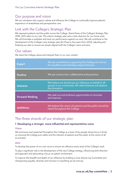### Our purpose and vision

We are volunteers who support, advise and influence the College to continually improve patients' experience of anaesthesia and perioperative care.

## Link with the College's Strategic Plan

We represent patients and the public across the College. Strand three of the College's Strategic Plan 2018–2021 refers to our role. This interim strategic plan sets a clear direction for our future work. We will formulate a workplan and track our performance against our aims. We will contribute to the development of the College's new strategic plan (for three to five years from 2022), adjusting and finalising our plan to ensure we remain aligned with the College's vision and aims.

### Our values

We share the College values and interpret them in our own context.

| <b>Expert</b>    | We are committed to supporting the College as it strives<br>for excellence and develops expert clinicians.                            |
|------------------|---------------------------------------------------------------------------------------------------------------------------------------|
| <b>Positive</b>  | We are constructive, collaborative and proactive.                                                                                     |
| <b>Inclusive</b> | We believe we should use our influence on behalf of all<br>groups in our community. We value diversity and deplore<br>discrimination. |
| Forward-thinking | We seek out and embrace opportunities to innovate<br>and improve.                                                                     |
| <b>Ambitious</b> | We believe the voices of patients and the public should be<br>heard throughout the College.                                           |

# The three strands of our strategic plan

#### **1 Developing a stronger, more influential and representative voice**

#### Vision

We are known and respected throughout the College as a team of lay people whose focus is firmly on ensuring the College puts safety and the interests of patients and the public at the centre of all its activities.

#### Aims

To develop the power of our own voice to ensure we influence every level of the College's work.

To play a significant role in the development of the new College strategy, influencing both direction and approach and advocating a focus on patient involvement.

To improve the breadth and depth of our influence by building a more diverse Lay Committee and championing equality, diversity and inclusion in everything we do and say.